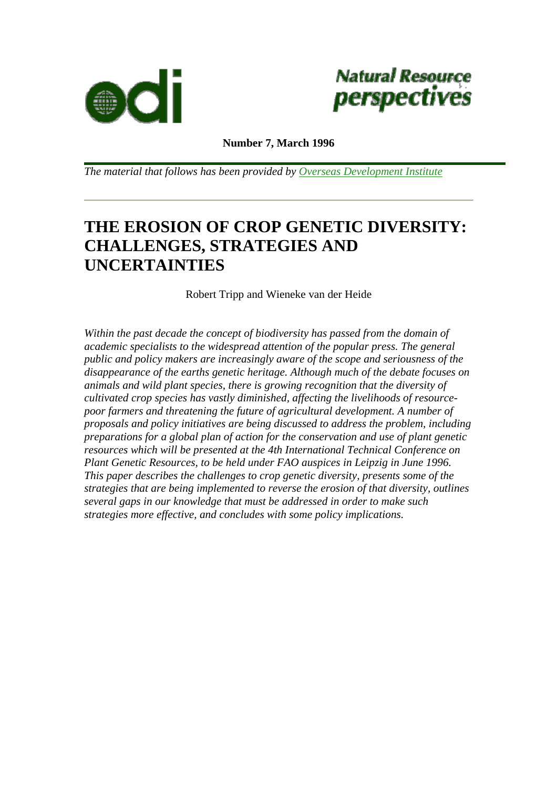



**Number 7, March 1996**

*The material that follows has been provided by [Overseas Development Institute](http://www.odi.org.uk/publications/nrp/index.html)*

# **THE EROSION OF CROP GENETIC DIVERSITY: CHALLENGES, STRATEGIES AND UNCERTAINTIES**

Robert Tripp and Wieneke van der Heide

*Within the past decade the concept of biodiversity has passed from the domain of academic specialists to the widespread attention of the popular press. The general public and policy makers are increasingly aware of the scope and seriousness of the disappearance of the earths genetic heritage. Although much of the debate focuses on animals and wild plant species, there is growing recognition that the diversity of cultivated crop species has vastly diminished, affecting the livelihoods of resourcepoor farmers and threatening the future of agricultural development. A number of proposals and policy initiatives are being discussed to address the problem, including preparations for a global plan of action for the conservation and use of plant genetic resources which will be presented at the 4th International Technical Conference on Plant Genetic Resources, to be held under FAO auspices in Leipzig in June 1996. This paper describes the challenges to crop genetic diversity, presents some of the strategies that are being implemented to reverse the erosion of that diversity, outlines several gaps in our knowledge that must be addressed in order to make such strategies more effective, and concludes with some policy implications.*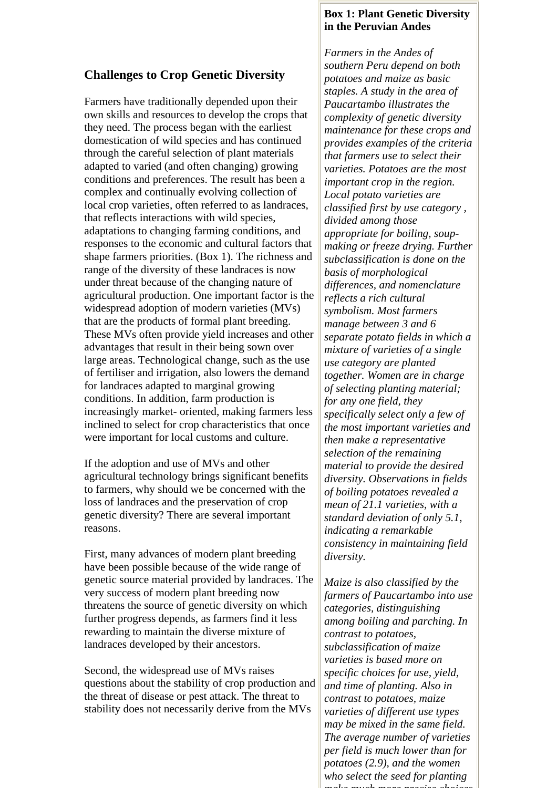### **Challenges to Crop Genetic Diversity**

Farmers have traditionally depended upon their own skills and resources to develop the crops that they need. The process began with the earliest domestication of wild species and has continued through the careful selection of plant materials adapted to varied (and often changing) growing conditions and preferences. The result has been a complex and continually evolving collection of local crop varieties, often referred to as landraces, that reflects interactions with wild species, adaptations to changing farming conditions, and responses to the economic and cultural factors that shape farmers priorities. (Box 1). The richness and range of the diversity of these landraces is now under threat because of the changing nature of agricultural production. One important factor is the widespread adoption of modern varieties (MVs) that are the products of formal plant breeding. These MVs often provide yield increases and other advantages that result in their being sown over large areas. Technological change, such as the use of fertiliser and irrigation, also lowers the demand for landraces adapted to marginal growing conditions. In addition, farm production is increasingly market- oriented, making farmers less inclined to select for crop characteristics that once were important for local customs and culture.

If the adoption and use of MVs and other agricultural technology brings significant benefits to farmers, why should we be concerned with the loss of landraces and the preservation of crop genetic diversity? There are several important reasons.

First, many advances of modern plant breeding have been possible because of the wide range of genetic source material provided by landraces. The very success of modern plant breeding now threatens the source of genetic diversity on which further progress depends, as farmers find it less rewarding to maintain the diverse mixture of landraces developed by their ancestors.

Second, the widespread use of MVs raises questions about the stability of crop production and the threat of disease or pest attack. The threat to stability does not necessarily derive from the MVs

#### **Box 1: Plant Genetic Diversity in the Peruvian Andes**

*Farmers in the Andes of southern Peru depend on both potatoes and maize as basic staples. A study in the area of Paucartambo illustrates the complexity of genetic diversity maintenance for these crops and provides examples of the criteria that farmers use to select their varieties. Potatoes are the most important crop in the region. Local potato varieties are classified first by use category , divided among those appropriate for boiling, soupmaking or freeze drying. Further subclassification is done on the basis of morphological differences, and nomenclature reflects a rich cultural symbolism. Most farmers manage between 3 and 6 separate potato fields in which a mixture of varieties of a single use category are planted together. Women are in charge of selecting planting material; for any one field, they specifically select only a few of the most important varieties and then make a representative selection of the remaining material to provide the desired diversity. Observations in fields of boiling potatoes revealed a mean of 21.1 varieties, with a standard deviation of only 5.1, indicating a remarkable consistency in maintaining field diversity.* 

*Maize is also classified by the farmers of Paucartambo into use categories, distinguishing among boiling and parching. In contrast to potatoes, subclassification of maize varieties is based more on specific choices for use, yield, and time of planting. Also in contrast to potatoes, maize varieties of different use types may be mixed in the same field. The average number of varieties per field is much lower than for potatoes (2.9), and the women who select the seed for planting make much more precise choices*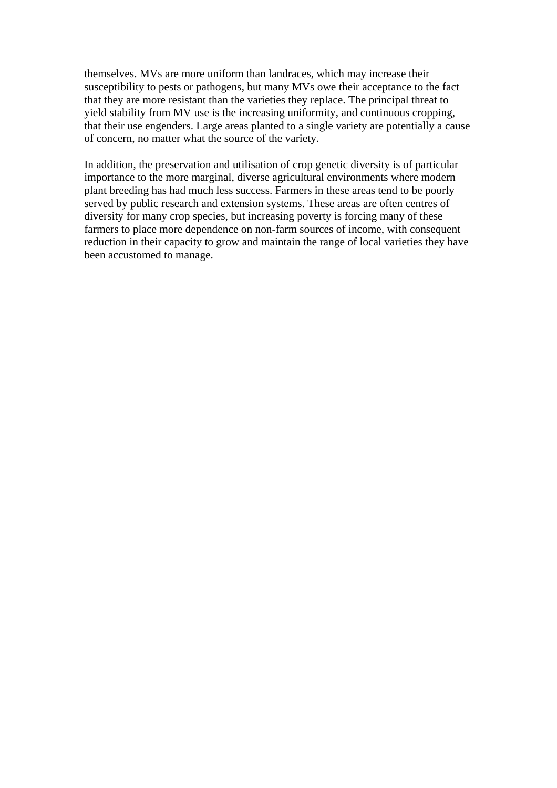themselves. MVs are more uniform than landraces, which may increase their susceptibility to pests or pathogens, but many MVs owe their acceptance to the fact that they are more resistant than the varieties they replace. The principal threat to yield stability from MV use is the increasing uniformity, and continuous cropping, that their use engenders. Large areas planted to a single variety are potentially a cause of concern, no matter what the source of the variety.

In addition, the preservation and utilisation of crop genetic diversity is of particular importance to the more marginal, diverse agricultural environments where modern plant breeding has had much less success. Farmers in these areas tend to be poorly served by public research and extension systems. These areas are often centres of diversity for many crop species, but increasing poverty is forcing many of these farmers to place more dependence on non-farm sources of income, with consequent reduction in their capacity to grow and maintain the range of local varieties they have been accustomed to manage.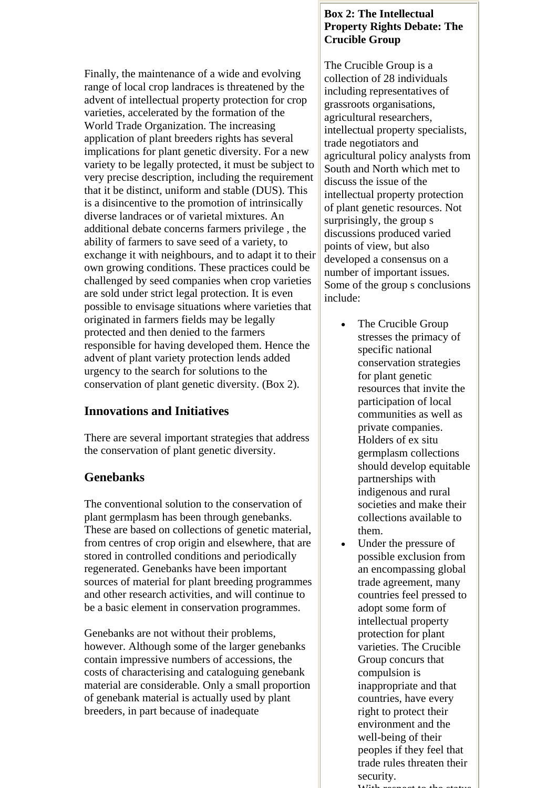Finally, the maintenance of a wide and evolving range of local crop landraces is threatened by the advent of intellectual property protection for crop varieties, accelerated by the formation of the World Trade Organization. The increasing application of plant breeders rights has several implications for plant genetic diversity. For a new variety to be legally protected, it must be subject to very precise description, including the requirement that it be distinct, uniform and stable (DUS). This is a disincentive to the promotion of intrinsically diverse landraces or of varietal mixtures. An additional debate concerns farmers privilege , the ability of farmers to save seed of a variety, to exchange it with neighbours, and to adapt it to their own growing conditions. These practices could be challenged by seed companies when crop varieties are sold under strict legal protection. It is even possible to envisage situations where varieties that originated in farmers fields may be legally protected and then denied to the farmers responsible for having developed them. Hence the advent of plant variety protection lends added urgency to the search for solutions to the conservation of plant genetic diversity. (Box 2).

# **Innovations and Initiatives**

There are several important strategies that address the conservation of plant genetic diversity.

## **Genebanks**

The conventional solution to the conservation of plant germplasm has been through genebanks. These are based on collections of genetic material, from centres of crop origin and elsewhere, that are stored in controlled conditions and periodically regenerated. Genebanks have been important sources of material for plant breeding programmes and other research activities, and will continue to be a basic element in conservation programmes.

Genebanks are not without their problems, however. Although some of the larger genebanks contain impressive numbers of accessions, the costs of characterising and cataloguing genebank material are considerable. Only a small proportion of genebank material is actually used by plant breeders, in part because of inadequate

#### **Box 2: The Intellectual Property Rights Debate: The Crucible Group**

The Crucible Group is a collection of 28 individuals including representatives of grassroots organisations, agricultural researchers, intellectual property specialists, trade negotiators and agricultural policy analysts from South and North which met to discuss the issue of the intellectual property protection of plant genetic resources. Not surprisingly, the group s discussions produced varied points of view, but also developed a consensus on a number of important issues. Some of the group s conclusions include:

- The Crucible Group stresses the primacy of specific national conservation strategies for plant genetic resources that invite the participation of local communities as well as private companies. Holders of ex situ germplasm collections should develop equitable partnerships with indigenous and rural societies and make their collections available to them.
- Under the pressure of possible exclusion from an encompassing global trade agreement, many countries feel pressed to adopt some form of intellectual property protection for plant varieties. The Crucible Group concurs that compulsion is inappropriate and that countries, have every right to protect their environment and the well-being of their peoples if they feel that trade rules threaten their security.
	- With respect to the status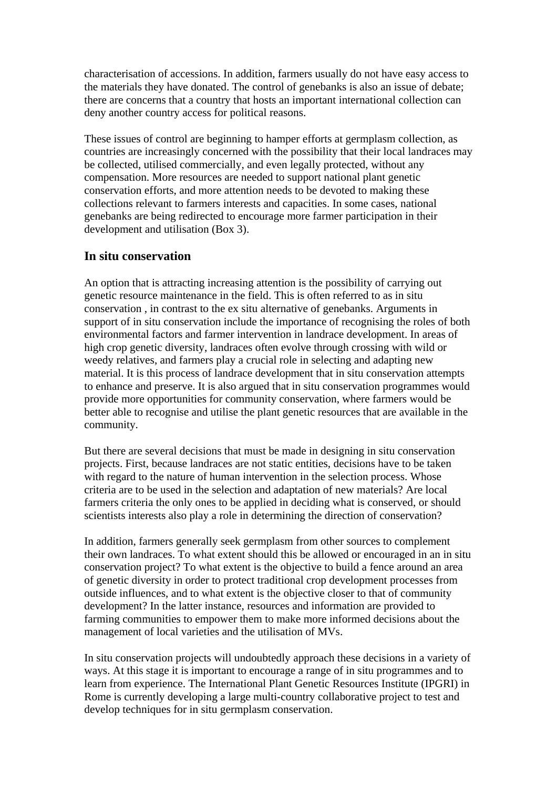characterisation of accessions. In addition, farmers usually do not have easy access to the materials they have donated. The control of genebanks is also an issue of debate; there are concerns that a country that hosts an important international collection can deny another country access for political reasons.

These issues of control are beginning to hamper efforts at germplasm collection, as countries are increasingly concerned with the possibility that their local landraces may be collected, utilised commercially, and even legally protected, without any compensation. More resources are needed to support national plant genetic conservation efforts, and more attention needs to be devoted to making these collections relevant to farmers interests and capacities. In some cases, national genebanks are being redirected to encourage more farmer participation in their development and utilisation (Box 3).

#### **In situ conservation**

An option that is attracting increasing attention is the possibility of carrying out genetic resource maintenance in the field. This is often referred to as in situ conservation , in contrast to the ex situ alternative of genebanks. Arguments in support of in situ conservation include the importance of recognising the roles of both environmental factors and farmer intervention in landrace development. In areas of high crop genetic diversity, landraces often evolve through crossing with wild or weedy relatives, and farmers play a crucial role in selecting and adapting new material. It is this process of landrace development that in situ conservation attempts to enhance and preserve. It is also argued that in situ conservation programmes would provide more opportunities for community conservation, where farmers would be better able to recognise and utilise the plant genetic resources that are available in the community.

But there are several decisions that must be made in designing in situ conservation projects. First, because landraces are not static entities, decisions have to be taken with regard to the nature of human intervention in the selection process. Whose criteria are to be used in the selection and adaptation of new materials? Are local farmers criteria the only ones to be applied in deciding what is conserved, or should scientists interests also play a role in determining the direction of conservation?

In addition, farmers generally seek germplasm from other sources to complement their own landraces. To what extent should this be allowed or encouraged in an in situ conservation project? To what extent is the objective to build a fence around an area of genetic diversity in order to protect traditional crop development processes from outside influences, and to what extent is the objective closer to that of community development? In the latter instance, resources and information are provided to farming communities to empower them to make more informed decisions about the management of local varieties and the utilisation of MVs.

In situ conservation projects will undoubtedly approach these decisions in a variety of ways. At this stage it is important to encourage a range of in situ programmes and to learn from experience. The International Plant Genetic Resources Institute (IPGRI) in Rome is currently developing a large multi-country collaborative project to test and develop techniques for in situ germplasm conservation.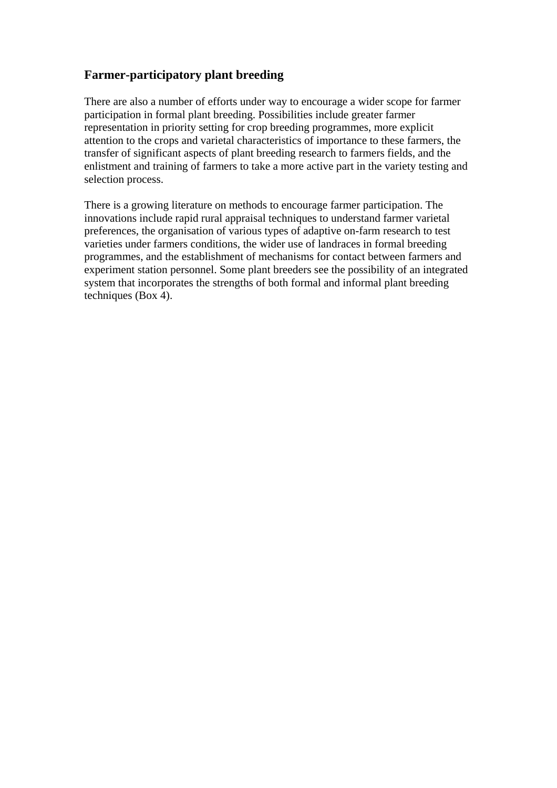## **Farmer-participatory plant breeding**

There are also a number of efforts under way to encourage a wider scope for farmer participation in formal plant breeding. Possibilities include greater farmer representation in priority setting for crop breeding programmes, more explicit attention to the crops and varietal characteristics of importance to these farmers, the transfer of significant aspects of plant breeding research to farmers fields, and the enlistment and training of farmers to take a more active part in the variety testing and selection process.

There is a growing literature on methods to encourage farmer participation. The innovations include rapid rural appraisal techniques to understand farmer varietal preferences, the organisation of various types of adaptive on-farm research to test varieties under farmers conditions, the wider use of landraces in formal breeding programmes, and the establishment of mechanisms for contact between farmers and experiment station personnel. Some plant breeders see the possibility of an integrated system that incorporates the strengths of both formal and informal plant breeding techniques (Box 4).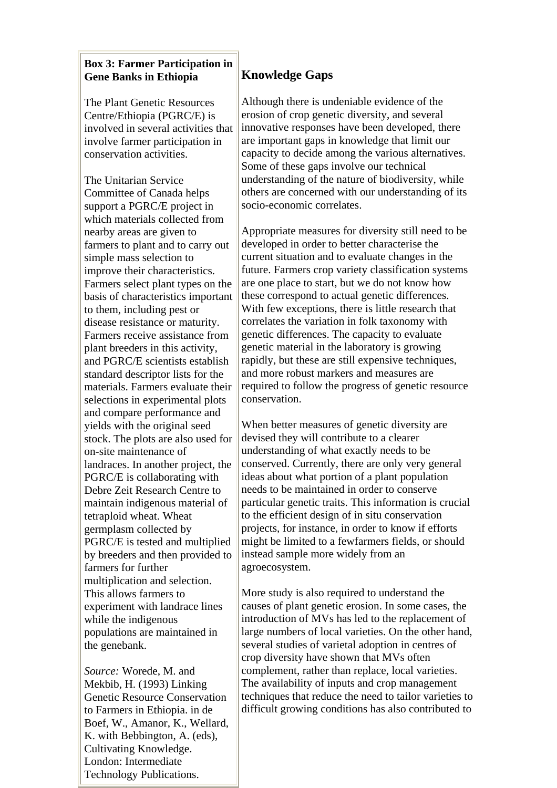#### **Box 3: Farmer Participation in Gene Banks in Ethiopia**

The Plant Genetic Resources Centre/Ethiopia (PGRC/E) is involved in several activities that involve farmer participation in conservation activities.

The Unitarian Service Committee of Canada helps support a PGRC/E project in which materials collected from nearby areas are given to farmers to plant and to carry out simple mass selection to improve their characteristics. Farmers select plant types on the basis of characteristics important to them, including pest or disease resistance or maturity. Farmers receive assistance from plant breeders in this activity, and PGRC/E scientists establish standard descriptor lists for the materials. Farmers evaluate their selections in experimental plots and compare performance and yields with the original seed stock. The plots are also used for on-site maintenance of landraces. In another project, the PGRC/E is collaborating with Debre Zeit Research Centre to maintain indigenous material of tetraploid wheat. Wheat germplasm collected by PGRC/E is tested and multiplied by breeders and then provided to farmers for further multiplication and selection. This allows farmers to experiment with landrace lines while the indigenous populations are maintained in the genebank.

*Source:* Worede, M. and Mekbib, H. (1993) Linking Genetic Resource Conservation to Farmers in Ethiopia. in de Boef, W., Amanor, K., Wellard, K. with Bebbington, A. (eds), Cultivating Knowledge. London: Intermediate Technology Publications.

# **Knowledge Gaps**

Although there is undeniable evidence of the erosion of crop genetic diversity, and several innovative responses have been developed, there are important gaps in knowledge that limit our capacity to decide among the various alternatives. Some of these gaps involve our technical understanding of the nature of biodiversity, while others are concerned with our understanding of its socio-economic correlates.

Appropriate measures for diversity still need to be developed in order to better characterise the current situation and to evaluate changes in the future. Farmers crop variety classification systems are one place to start, but we do not know how these correspond to actual genetic differences. With few exceptions, there is little research that correlates the variation in folk taxonomy with genetic differences. The capacity to evaluate genetic material in the laboratory is growing rapidly, but these are still expensive techniques, and more robust markers and measures are required to follow the progress of genetic resource conservation.

When better measures of genetic diversity are devised they will contribute to a clearer understanding of what exactly needs to be conserved. Currently, there are only very general ideas about what portion of a plant population needs to be maintained in order to conserve particular genetic traits. This information is crucial to the efficient design of in situ conservation projects, for instance, in order to know if efforts might be limited to a fewfarmers fields, or should instead sample more widely from an agroecosystem.

More study is also required to understand the causes of plant genetic erosion. In some cases, the introduction of MVs has led to the replacement of large numbers of local varieties. On the other hand, several studies of varietal adoption in centres of crop diversity have shown that MVs often complement, rather than replace, local varieties. The availability of inputs and crop management techniques that reduce the need to tailor varieties to difficult growing conditions has also contributed to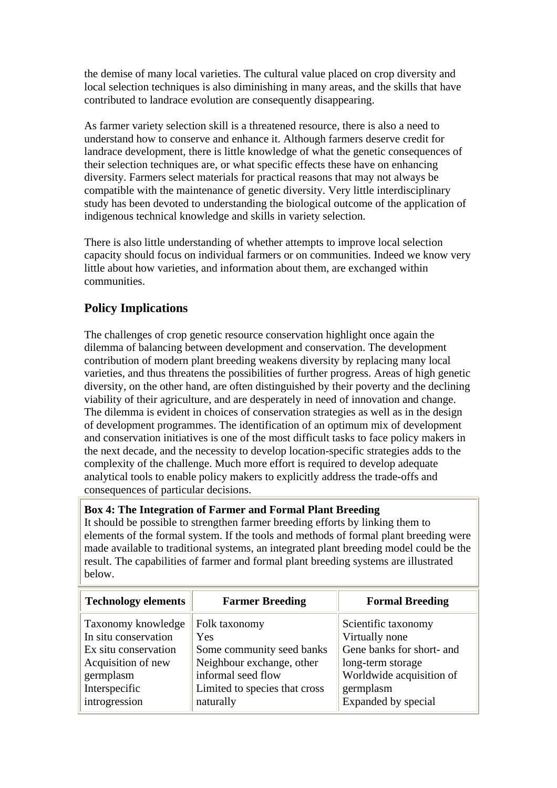the demise of many local varieties. The cultural value placed on crop diversity and local selection techniques is also diminishing in many areas, and the skills that have contributed to landrace evolution are consequently disappearing.

As farmer variety selection skill is a threatened resource, there is also a need to understand how to conserve and enhance it. Although farmers deserve credit for landrace development, there is little knowledge of what the genetic consequences of their selection techniques are, or what specific effects these have on enhancing diversity. Farmers select materials for practical reasons that may not always be compatible with the maintenance of genetic diversity. Very little interdisciplinary study has been devoted to understanding the biological outcome of the application of indigenous technical knowledge and skills in variety selection.

There is also little understanding of whether attempts to improve local selection capacity should focus on individual farmers or on communities. Indeed we know very little about how varieties, and information about them, are exchanged within communities.

# **Policy Implications**

The challenges of crop genetic resource conservation highlight once again the dilemma of balancing between development and conservation. The development contribution of modern plant breeding weakens diversity by replacing many local varieties, and thus threatens the possibilities of further progress. Areas of high genetic diversity, on the other hand, are often distinguished by their poverty and the declining viability of their agriculture, and are desperately in need of innovation and change. The dilemma is evident in choices of conservation strategies as well as in the design of development programmes. The identification of an optimum mix of development and conservation initiatives is one of the most difficult tasks to face policy makers in the next decade, and the necessity to develop location-specific strategies adds to the complexity of the challenge. Much more effort is required to develop adequate analytical tools to enable policy makers to explicitly address the trade-offs and consequences of particular decisions.

#### **Box 4: The Integration of Farmer and Formal Plant Breeding**

It should be possible to strengthen farmer breeding efforts by linking them to elements of the formal system. If the tools and methods of formal plant breeding were made available to traditional systems, an integrated plant breeding model could be the result. The capabilities of farmer and formal plant breeding systems are illustrated below.

| <b>Technology elements</b> | <b>Farmer Breeding</b>        | <b>Formal Breeding</b>    |
|----------------------------|-------------------------------|---------------------------|
| Taxonomy knowledge         | Folk taxonomy                 | Scientific taxonomy       |
| In situ conservation       | Yes                           | Virtually none            |
| Ex situ conservation       | Some community seed banks     | Gene banks for short- and |
| Acquisition of new         | Neighbour exchange, other     | long-term storage         |
| germplasm                  | informal seed flow            | Worldwide acquisition of  |
| Interspecific              | Limited to species that cross | germplasm                 |
| introgression              | naturally                     | Expanded by special       |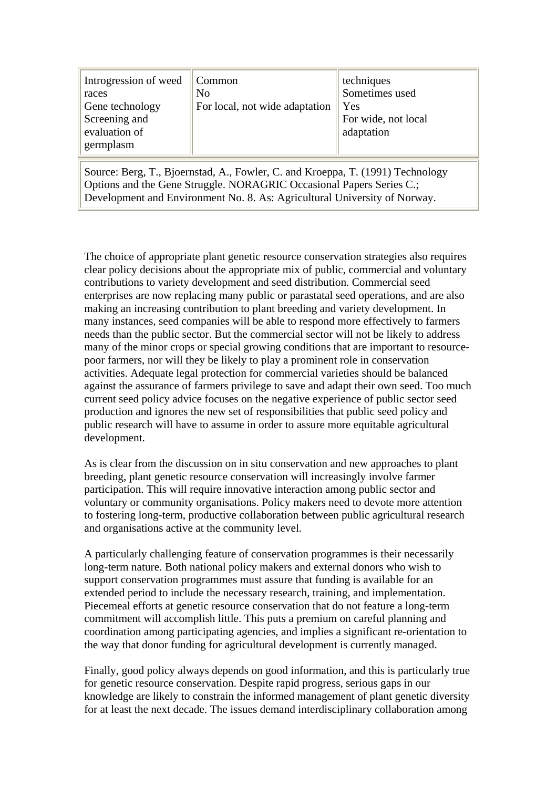| Introgression of weed Common<br>races<br>Gene technology<br>Screening and<br>evaluation of<br>germplasm | No<br>For local, not wide adaptation | techniques<br>Sometimes used<br>Yes<br>For wide, not local<br>adaptation |
|---------------------------------------------------------------------------------------------------------|--------------------------------------|--------------------------------------------------------------------------|
|---------------------------------------------------------------------------------------------------------|--------------------------------------|--------------------------------------------------------------------------|

Source: Berg, T., Bjoernstad, A., Fowler, C. and Kroeppa, T. (1991) Technology Options and the Gene Struggle. NORAGRIC Occasional Papers Series C.; Development and Environment No. 8. As: Agricultural University of Norway.

The choice of appropriate plant genetic resource conservation strategies also requires clear policy decisions about the appropriate mix of public, commercial and voluntary contributions to variety development and seed distribution. Commercial seed enterprises are now replacing many public or parastatal seed operations, and are also making an increasing contribution to plant breeding and variety development. In many instances, seed companies will be able to respond more effectively to farmers needs than the public sector. But the commercial sector will not be likely to address many of the minor crops or special growing conditions that are important to resourcepoor farmers, nor will they be likely to play a prominent role in conservation activities. Adequate legal protection for commercial varieties should be balanced against the assurance of farmers privilege to save and adapt their own seed. Too much current seed policy advice focuses on the negative experience of public sector seed production and ignores the new set of responsibilities that public seed policy and public research will have to assume in order to assure more equitable agricultural development.

As is clear from the discussion on in situ conservation and new approaches to plant breeding, plant genetic resource conservation will increasingly involve farmer participation. This will require innovative interaction among public sector and voluntary or community organisations. Policy makers need to devote more attention to fostering long-term, productive collaboration between public agricultural research and organisations active at the community level.

A particularly challenging feature of conservation programmes is their necessarily long-term nature. Both national policy makers and external donors who wish to support conservation programmes must assure that funding is available for an extended period to include the necessary research, training, and implementation. Piecemeal efforts at genetic resource conservation that do not feature a long-term commitment will accomplish little. This puts a premium on careful planning and coordination among participating agencies, and implies a significant re-orientation to the way that donor funding for agricultural development is currently managed.

Finally, good policy always depends on good information, and this is particularly true for genetic resource conservation. Despite rapid progress, serious gaps in our knowledge are likely to constrain the informed management of plant genetic diversity for at least the next decade. The issues demand interdisciplinary collaboration among